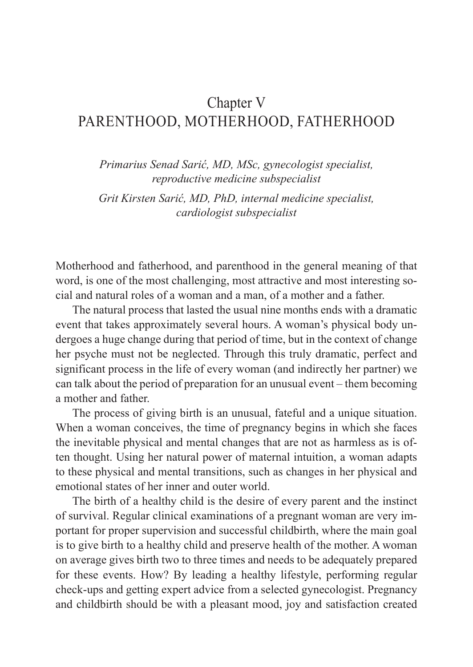# Chapter V PARENTHOOD, MOTHERHOOD, FATHERHOOD

*Primarius Senad Sarić, MD, MSc, gynecologist specialist, reproductive medicine subspecialist*

*Grit Kirsten Sarić, MD, PhD, internal medicine specialist, cardiologist subspecialist*

Motherhood and fatherhood, and parenthood in the general meaning of that word, is one of the most challenging, most attractive and most interesting social and natural roles of a woman and a man, of a mother and a father.

The natural process that lasted the usual nine months ends with a dramatic event that takes approximately several hours. A woman's physical body undergoes a huge change during that period of time, but in the context of change her psyche must not be neglected. Through this truly dramatic, perfect and significant process in the life of every woman (and indirectly her partner) we can talk about the period of preparation for an unusual event – them becoming a mother and father.

The process of giving birth is an unusual, fateful and a unique situation. When a woman conceives, the time of pregnancy begins in which she faces the inevitable physical and mental changes that are not as harmless as is often thought. Using her natural power of maternal intuition, a woman adapts to these physical and mental transitions, such as changes in her physical and emotional states of her inner and outer world.

The birth of a healthy child is the desire of every parent and the instinct of survival. Regular clinical examinations of a pregnant woman are very important for proper supervision and successful childbirth, where the main goal is to give birth to a healthy child and preserve health of the mother. A woman on average gives birth two to three times and needs to be adequately prepared for these events. How? By leading a healthy lifestyle, performing regular check-ups and getting expert advice from a selected gynecologist. Pregnancy and childbirth should be with a pleasant mood, joy and satisfaction created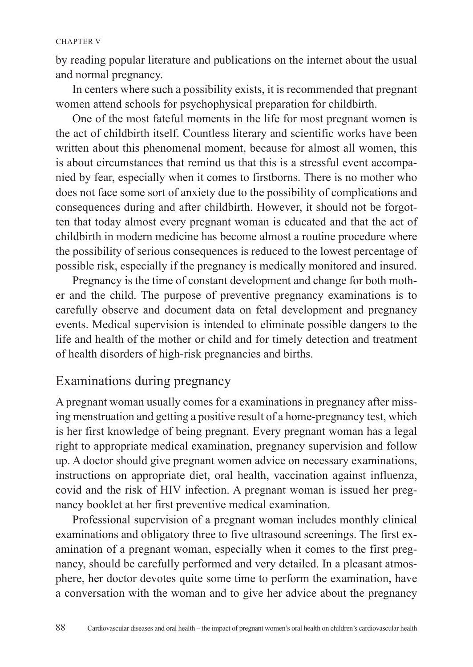by reading popular literature and publications on the internet about the usual and normal pregnancy.

In centers where such a possibility exists, it is recommended that pregnant women attend schools for psychophysical preparation for childbirth.

One of the most fateful moments in the life for most pregnant women is the act of childbirth itself. Countless literary and scientific works have been written about this phenomenal moment, because for almost all women, this is about circumstances that remind us that this is a stressful event accompanied by fear, especially when it comes to firstborns. There is no mother who does not face some sort of anxiety due to the possibility of complications and consequences during and after childbirth. However, it should not be forgotten that today almost every pregnant woman is educated and that the act of childbirth in modern medicine has become almost a routine procedure where the possibility of serious consequences is reduced to the lowest percentage of possible risk, especially if the pregnancy is medically monitored and insured.

Pregnancy is the time of constant development and change for both mother and the child. The purpose of preventive pregnancy examinations is to carefully observe and document data on fetal development and pregnancy events. Medical supervision is intended to eliminate possible dangers to the life and health of the mother or child and for timely detection and treatment of health disorders of high-risk pregnancies and births.

# Examinations during pregnancy

A pregnant woman usually comes for a examinations in pregnancy after missing menstruation and getting a positive result of a home-pregnancy test, which is her first knowledge of being pregnant. Every pregnant woman has a legal right to appropriate medical examination, pregnancy supervision and follow up. A doctor should give pregnant women advice on necessary examinations, instructions on appropriate diet, oral health, vaccination against influenza, covid and the risk of HIV infection. A pregnant woman is issued her pregnancy booklet at her first preventive medical examination.

Professional supervision of a pregnant woman includes monthly clinical examinations and obligatory three to five ultrasound screenings. The first examination of a pregnant woman, especially when it comes to the first pregnancy, should be carefully performed and very detailed. In a pleasant atmosphere, her doctor devotes quite some time to perform the examination, have a conversation with the woman and to give her advice about the pregnancy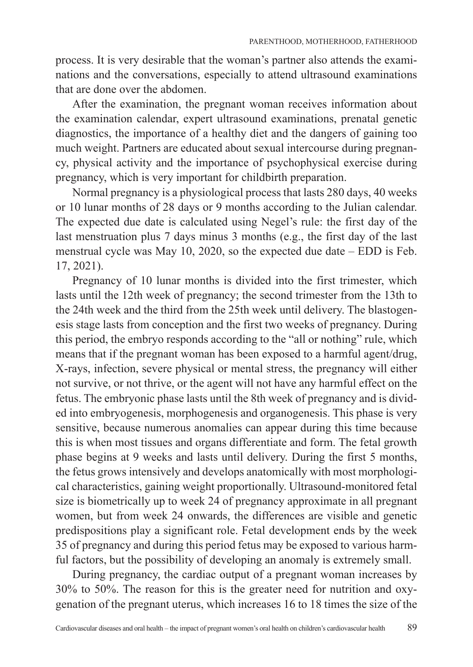process. It is very desirable that the woman's partner also attends the examinations and the conversations, especially to attend ultrasound examinations that are done over the abdomen.

After the examination, the pregnant woman receives information about the examination calendar, expert ultrasound examinations, prenatal genetic diagnostics, the importance of a healthy diet and the dangers of gaining too much weight. Partners are educated about sexual intercourse during pregnancy, physical activity and the importance of psychophysical exercise during pregnancy, which is very important for childbirth preparation.

Normal pregnancy is a physiological process that lasts 280 days, 40 weeks or 10 lunar months of 28 days or 9 months according to the Julian calendar. The expected due date is calculated using Negel's rule: the first day of the last menstruation plus 7 days minus 3 months (e.g., the first day of the last menstrual cycle was May 10, 2020, so the expected due date – EDD is Feb. 17, 2021).

Pregnancy of 10 lunar months is divided into the first trimester, which lasts until the 12th week of pregnancy; the second trimester from the 13th to the 24th week and the third from the 25th week until delivery. The blastogenesis stage lasts from conception and the first two weeks of pregnancy. During this period, the embryo responds according to the "all or nothing" rule, which means that if the pregnant woman has been exposed to a harmful agent/drug, X-rays, infection, severe physical or mental stress, the pregnancy will either not survive, or not thrive, or the agent will not have any harmful effect on the fetus. The embryonic phase lasts until the 8th week of pregnancy and is divided into embryogenesis, morphogenesis and organogenesis. This phase is very sensitive, because numerous anomalies can appear during this time because this is when most tissues and organs differentiate and form. The fetal growth phase begins at 9 weeks and lasts until delivery. During the first 5 months, the fetus grows intensively and develops anatomically with most morphological characteristics, gaining weight proportionally. Ultrasound-monitored fetal size is biometrically up to week 24 of pregnancy approximate in all pregnant women, but from week 24 onwards, the differences are visible and genetic predispositions play a significant role. Fetal development ends by the week 35 of pregnancy and during this period fetus may be exposed to various harmful factors, but the possibility of developing an anomaly is extremely small.

During pregnancy, the cardiac output of a pregnant woman increases by 30% to 50%. The reason for this is the greater need for nutrition and oxygenation of the pregnant uterus, which increases 16 to 18 times the size of the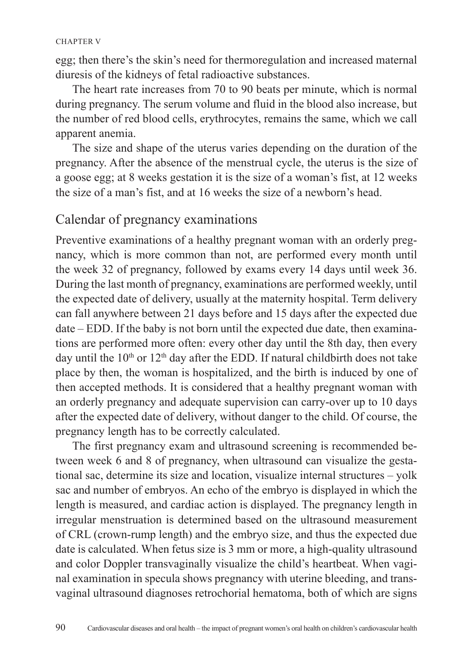egg; then there's the skin's need for thermoregulation and increased maternal diuresis of the kidneys of fetal radioactive substances.

The heart rate increases from 70 to 90 beats per minute, which is normal during pregnancy. The serum volume and fluid in the blood also increase, but the number of red blood cells, erythrocytes, remains the same, which we call apparent anemia.

The size and shape of the uterus varies depending on the duration of the pregnancy. After the absence of the menstrual cycle, the uterus is the size of a goose egg; at 8 weeks gestation it is the size of a woman's fist, at 12 weeks the size of a man's fist, and at 16 weeks the size of a newborn's head.

## Calendar of pregnancy examinations

Preventive examinations of a healthy pregnant woman with an orderly pregnancy, which is more common than not, are performed every month until the week 32 of pregnancy, followed by exams every 14 days until week 36. During the last month of pregnancy, examinations are performed weekly, until the expected date of delivery, usually at the maternity hospital. Term delivery can fall anywhere between 21 days before and 15 days after the expected due date – EDD. If the baby is not born until the expected due date, then examinations are performed more often: every other day until the 8th day, then every day until the  $10<sup>th</sup>$  or  $12<sup>th</sup>$  day after the EDD. If natural childbirth does not take place by then, the woman is hospitalized, and the birth is induced by one of then accepted methods. It is considered that a healthy pregnant woman with an orderly pregnancy and adequate supervision can carry-over up to 10 days after the expected date of delivery, without danger to the child. Of course, the pregnancy length has to be correctly calculated.

The first pregnancy exam and ultrasound screening is recommended between week 6 and 8 of pregnancy, when ultrasound can visualize the gestational sac, determine its size and location, visualize internal structures – yolk sac and number of embryos. An echo of the embryo is displayed in which the length is measured, and cardiac action is displayed. The pregnancy length in irregular menstruation is determined based on the ultrasound measurement of CRL (crown-rump length) and the embryo size, and thus the expected due date is calculated. When fetus size is 3 mm or more, a high-quality ultrasound and color Doppler transvaginally visualize the child's heartbeat. When vaginal examination in specula shows pregnancy with uterine bleeding, and transvaginal ultrasound diagnoses retrochorial hematoma, both of which are signs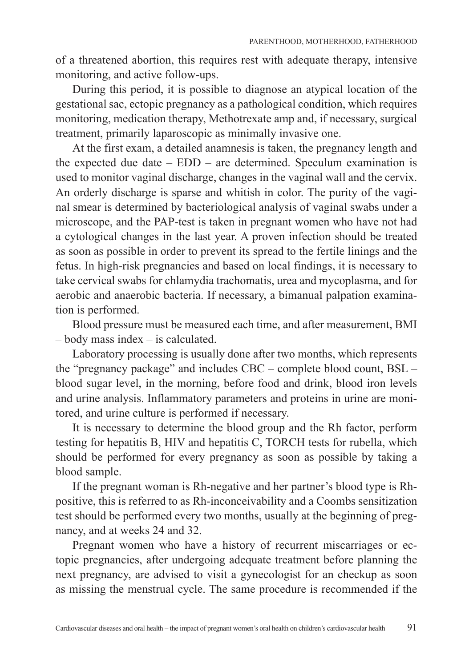of a threatened abortion, this requires rest with adequate therapy, intensive monitoring, and active follow-ups.

During this period, it is possible to diagnose an atypical location of the gestational sac, ectopic pregnancy as a pathological condition, which requires monitoring, medication therapy, Methotrexate amp and, if necessary, surgical treatment, primarily laparoscopic as minimally invasive one.

At the first exam, a detailed anamnesis is taken, the pregnancy length and the expected due date – EDD – are determined. Speculum examination is used to monitor vaginal discharge, changes in the vaginal wall and the cervix. An orderly discharge is sparse and whitish in color. The purity of the vaginal smear is determined by bacteriological analysis of vaginal swabs under a microscope, and the PAP-test is taken in pregnant women who have not had a cytological changes in the last year. A proven infection should be treated as soon as possible in order to prevent its spread to the fertile linings and the fetus. In high-risk pregnancies and based on local findings, it is necessary to take cervical swabs for chlamydia trachomatis, urea and mycoplasma, and for aerobic and anaerobic bacteria. If necessary, a bimanual palpation examination is performed.

Blood pressure must be measured each time, and after measurement, BMI – body mass index – is calculated.

Laboratory processing is usually done after two months, which represents the "pregnancy package" and includes CBC – complete blood count, BSL – blood sugar level, in the morning, before food and drink, blood iron levels and urine analysis. Inflammatory parameters and proteins in urine are monitored, and urine culture is performed if necessary.

It is necessary to determine the blood group and the Rh factor, perform testing for hepatitis B, HIV and hepatitis C, TORCH tests for rubella, which should be performed for every pregnancy as soon as possible by taking a blood sample.

If the pregnant woman is Rh-negative and her partner's blood type is Rhpositive, this is referred to as Rh-inconceivability and a Coombs sensitization test should be performed every two months, usually at the beginning of pregnancy, and at weeks 24 and 32.

Pregnant women who have a history of recurrent miscarriages or ectopic pregnancies, after undergoing adequate treatment before planning the next pregnancy, are advised to visit a gynecologist for an checkup as soon as missing the menstrual cycle. The same procedure is recommended if the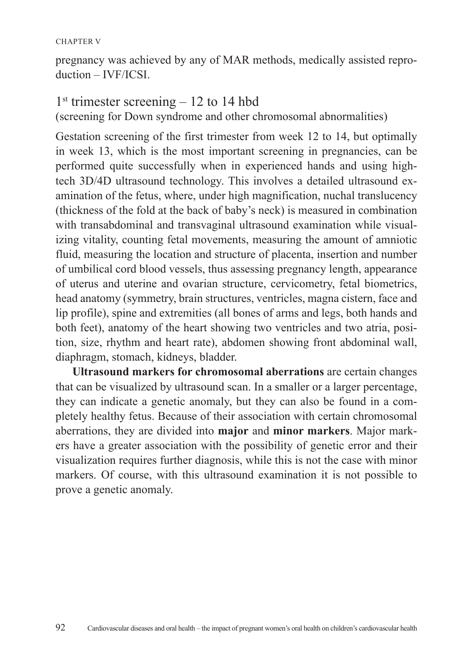pregnancy was achieved by any of MAR methods, medically assisted reproduction – IVF/ICSI.

## $1<sup>st</sup>$  trimester screening – 12 to 14 hbd

(screening for Down syndrome and other chromosomal abnormalities)

Gestation screening of the first trimester from week 12 to 14, but optimally in week 13, which is the most important screening in pregnancies, can be performed quite successfully when in experienced hands and using hightech 3D/4D ultrasound technology. This involves a detailed ultrasound examination of the fetus, where, under high magnification, nuchal translucency (thickness of the fold at the back of baby's neck) is measured in combination with transabdominal and transvaginal ultrasound examination while visualizing vitality, counting fetal movements, measuring the amount of amniotic fluid, measuring the location and structure of placenta, insertion and number of umbilical cord blood vessels, thus assessing pregnancy length, appearance of uterus and uterine and ovarian structure, cervicometry, fetal biometrics, head anatomy (symmetry, brain structures, ventricles, magna cistern, face and lip profile), spine and extremities (all bones of arms and legs, both hands and both feet), anatomy of the heart showing two ventricles and two atria, position, size, rhythm and heart rate), abdomen showing front abdominal wall, diaphragm, stomach, kidneys, bladder.

**Ultrasound markers for chromosomal aberrations** are certain changes that can be visualized by ultrasound scan. In a smaller or a larger percentage, they can indicate a genetic anomaly, but they can also be found in a completely healthy fetus. Because of their association with certain chromosomal aberrations, they are divided into **major** and **minor markers**. Major markers have a greater association with the possibility of genetic error and their visualization requires further diagnosis, while this is not the case with minor markers. Of course, with this ultrasound examination it is not possible to prove a genetic anomaly.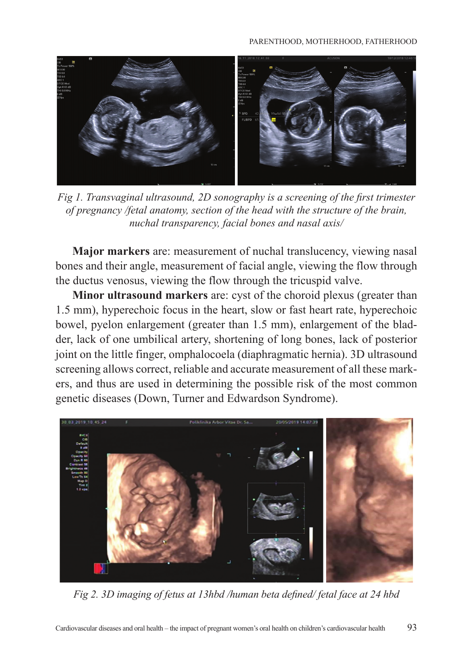

*Fig 1. Transvaginal ultrasound, 2D sonography is a screening of the first trimester of pregnancy /fetal anatomy, section of the head with the structure of the brain, nuchal transparency, facial bones and nasal axis/*

**Major markers** are: measurement of nuchal translucency, viewing nasal bones and their angle, measurement of facial angle, viewing the flow through the ductus venosus, viewing the flow through the tricuspid valve.

**Minor ultrasound markers** are: cyst of the choroid plexus (greater than 1.5 mm), hyperechoic focus in the heart, slow or fast heart rate, hyperechoic bowel, pyelon enlargement (greater than 1.5 mm), enlargement of the bladder, lack of one umbilical artery, shortening of long bones, lack of posterior joint on the little finger, omphalocoela (diaphragmatic hernia). 3D ultrasound screening allows correct, reliable and accurate measurement of all these markers, and thus are used in determining the possible risk of the most common genetic diseases (Down, Turner and Edwardson Syndrome).



*Fig 2. 3D imaging of fetus at 13hbd /human beta defined/ fetal face at 24 hbd*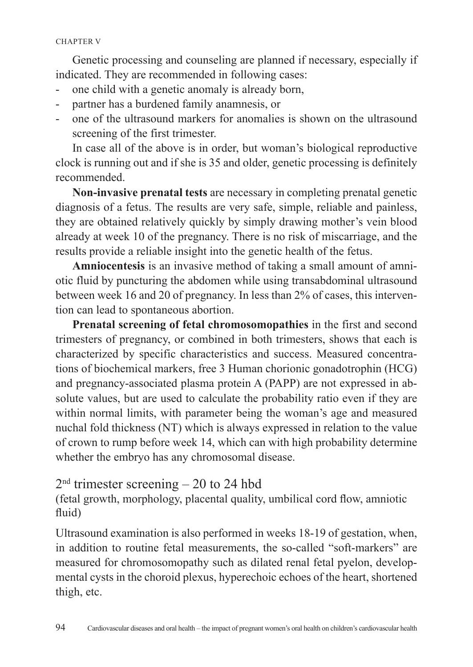Genetic processing and counseling are planned if necessary, especially if indicated. They are recommended in following cases:

- one child with a genetic anomaly is already born,
- partner has a burdened family anamnesis, or
- one of the ultrasound markers for anomalies is shown on the ultrasound screening of the first trimester.

In case all of the above is in order, but woman's biological reproductive clock is running out and if she is 35 and older, genetic processing is definitely recommended.

**Non-invasive prenatal tests** are necessary in completing prenatal genetic diagnosis of a fetus. The results are very safe, simple, reliable and painless, they are obtained relatively quickly by simply drawing mother's vein blood already at week 10 of the pregnancy. There is no risk of miscarriage, and the results provide a reliable insight into the genetic health of the fetus.

**Amniocentesis** is an invasive method of taking a small amount of amniotic fluid by puncturing the abdomen while using transabdominal ultrasound between week 16 and 20 of pregnancy. In less than 2% of cases, this intervention can lead to spontaneous abortion.

**Prenatal screening of fetal chromosomopathies** in the first and second trimesters of pregnancy, or combined in both trimesters, shows that each is characterized by specific characteristics and success. Measured concentrations of biochemical markers, free 3 Human chorionic gonadotrophin (HCG) and pregnancy-associated plasma protein A (PAPP) are not expressed in absolute values, but are used to calculate the probability ratio even if they are within normal limits, with parameter being the woman's age and measured nuchal fold thickness (NT) which is always expressed in relation to the value of crown to rump before week 14, which can with high probability determine whether the embryo has any chromosomal disease.

## $2<sup>nd</sup>$  trimester screening  $-20$  to 24 hbd

(fetal growth, morphology, placental quality, umbilical cord flow, amniotic fluid)

Ultrasound examination is also performed in weeks 18-19 of gestation, when, in addition to routine fetal measurements, the so-called "soft-markers" are measured for chromosomopathy such as dilated renal fetal pyelon, developmental cysts in the choroid plexus, hyperechoic echoes of the heart, shortened thigh, etc.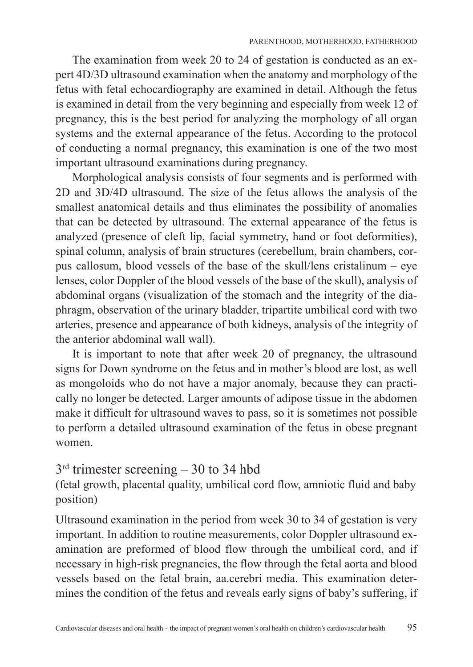The examination from week 20 to 24 of gestation is conducted as an expert 4D/3D ultrasound examination when the anatomy and morphology of the fetus with fetal echocardiography are examined in detail. Although the fetus is examined in detail from the very beginning and especially from week 12 of pregnancy, this is the best period for analyzing the morphology of all organ systems and the external appearance of the fetus. According to the protocol of conducting a normal pregnancy, this examination is one of the two most important ultrasound examinations during pregnancy.

Morphological analysis consists of four segments and is performed with 2D and 3D/4D ultrasound. The size of the fetus allows the analysis of the smallest anatomical details and thus eliminates the possibility of anomalies that can be detected by ultrasound. The external appearance of the fetus is analyzed (presence of cleft lip, facial symmetry, hand or foot deformities), spinal column, analysis of brain structures (cerebellum, brain chambers, corpus callosum, blood vessels of the base of the skull/lens cristalinum – eye lenses, color Doppler of the blood vessels of the base of the skull), analysis of abdominal organs (visualization of the stomach and the integrity of the diaphragm, observation of the urinary bladder, tripartite umbilical cord with two arteries, presence and appearance of both kidneys, analysis of the integrity of the anterior abdominal wall wall).

It is important to note that after week 20 of pregnancy, the ultrasound signs for Down syndrome on the fetus and in mother's blood are lost, as well as mongoloids who do not have a major anomaly, because they can practically no longer be detected. Larger amounts of adipose tissue in the abdomen make it difficult for ultrasound waves to pass, so it is sometimes not possible to perform a detailed ultrasound examination of the fetus in obese pregnant women.

## 3rd trimester screening – 30 to 34 hbd

(fetal growth, placental quality, umbilical cord flow, amniotic fluid and baby position)

Ultrasound examination in the period from week 30 to 34 of gestation is very important. In addition to routine measurements, color Doppler ultrasound examination are preformed of blood flow through the umbilical cord, and if necessary in high-risk pregnancies, the flow through the fetal aorta and blood vessels based on the fetal brain, aa.cerebri media. This examination determines the condition of the fetus and reveals early signs of baby's suffering, if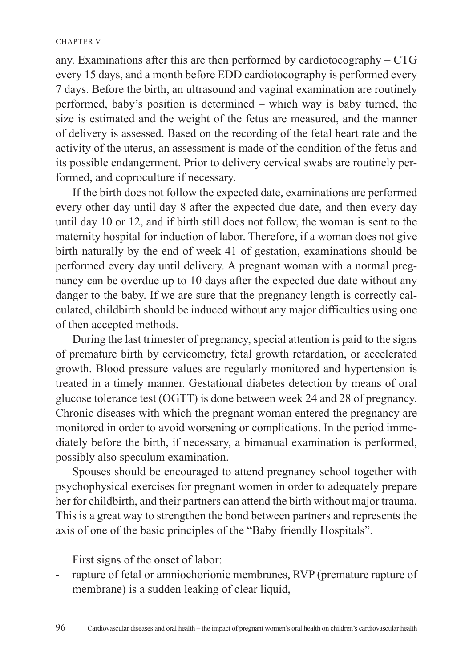any. Examinations after this are then performed by cardiotocography – CTG every 15 days, and a month before EDD cardiotocography is performed every 7 days. Before the birth, an ultrasound and vaginal examination are routinely performed, baby's position is determined – which way is baby turned, the size is estimated and the weight of the fetus are measured, and the manner of delivery is assessed. Based on the recording of the fetal heart rate and the activity of the uterus, an assessment is made of the condition of the fetus and its possible endangerment. Prior to delivery cervical swabs are routinely performed, and coproculture if necessary.

If the birth does not follow the expected date, examinations are performed every other day until day 8 after the expected due date, and then every day until day 10 or 12, and if birth still does not follow, the woman is sent to the maternity hospital for induction of labor. Therefore, if a woman does not give birth naturally by the end of week 41 of gestation, examinations should be performed every day until delivery. A pregnant woman with a normal pregnancy can be overdue up to 10 days after the expected due date without any danger to the baby. If we are sure that the pregnancy length is correctly calculated, childbirth should be induced without any major difficulties using one of then accepted methods.

During the last trimester of pregnancy, special attention is paid to the signs of premature birth by cervicometry, fetal growth retardation, or accelerated growth. Blood pressure values are regularly monitored and hypertension is treated in a timely manner. Gestational diabetes detection by means of oral glucose tolerance test (OGTT) is done between week 24 and 28 of pregnancy. Chronic diseases with which the pregnant woman entered the pregnancy are monitored in order to avoid worsening or complications. In the period immediately before the birth, if necessary, a bimanual examination is performed, possibly also speculum examination.

Spouses should be encouraged to attend pregnancy school together with psychophysical exercises for pregnant women in order to adequately prepare her for childbirth, and their partners can attend the birth without major trauma. This is a great way to strengthen the bond between partners and represents the axis of one of the basic principles of the "Baby friendly Hospitals".

First signs of the onset of labor:

rapture of fetal or amniochorionic membranes, RVP (premature rapture of membrane) is a sudden leaking of clear liquid,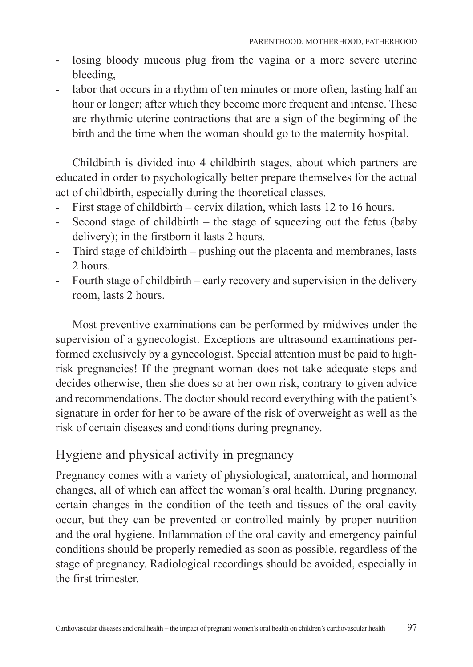- losing bloody mucous plug from the vagina or a more severe uterine bleeding,
- labor that occurs in a rhythm of ten minutes or more often, lasting half an hour or longer; after which they become more frequent and intense. These are rhythmic uterine contractions that are a sign of the beginning of the birth and the time when the woman should go to the maternity hospital.

Childbirth is divided into 4 childbirth stages, about which partners are educated in order to psychologically better prepare themselves for the actual act of childbirth, especially during the theoretical classes.

- First stage of childbirth cervix dilation, which lasts 12 to 16 hours.
- Second stage of childbirth the stage of squeezing out the fetus (baby delivery); in the firstborn it lasts 2 hours.
- Third stage of childbirth pushing out the placenta and membranes, lasts 2 hours.
- Fourth stage of childbirth early recovery and supervision in the delivery room, lasts 2 hours.

Most preventive examinations can be performed by midwives under the supervision of a gynecologist. Exceptions are ultrasound examinations performed exclusively by a gynecologist. Special attention must be paid to highrisk pregnancies! If the pregnant woman does not take adequate steps and decides otherwise, then she does so at her own risk, contrary to given advice and recommendations. The doctor should record everything with the patient's signature in order for her to be aware of the risk of overweight as well as the risk of certain diseases and conditions during pregnancy.

# Hygiene and physical activity in pregnancy

Pregnancy comes with a variety of physiological, anatomical, and hormonal changes, all of which can affect the woman's oral health. During pregnancy, certain changes in the condition of the teeth and tissues of the oral cavity occur, but they can be prevented or controlled mainly by proper nutrition and the oral hygiene. Inflammation of the oral cavity and emergency painful conditions should be properly remedied as soon as possible, regardless of the stage of pregnancy. Radiological recordings should be avoided, especially in the first trimester.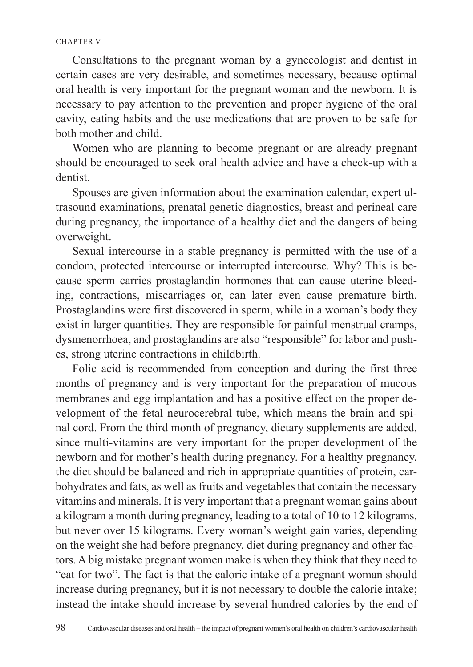Consultations to the pregnant woman by a gynecologist and dentist in certain cases are very desirable, and sometimes necessary, because optimal oral health is very important for the pregnant woman and the newborn. It is necessary to pay attention to the prevention and proper hygiene of the oral cavity, eating habits and the use medications that are proven to be safe for both mother and child.

Women who are planning to become pregnant or are already pregnant should be encouraged to seek oral health advice and have a check-up with a dentist.

Spouses are given information about the examination calendar, expert ultrasound examinations, prenatal genetic diagnostics, breast and perineal care during pregnancy, the importance of a healthy diet and the dangers of being overweight.

Sexual intercourse in a stable pregnancy is permitted with the use of a condom, protected intercourse or interrupted intercourse. Why? This is because sperm carries prostaglandin hormones that can cause uterine bleeding, contractions, miscarriages or, can later even cause premature birth. Prostaglandins were first discovered in sperm, while in a woman's body they exist in larger quantities. They are responsible for painful menstrual cramps, dysmenorrhoea, and prostaglandins are also "responsible" for labor and pushes, strong uterine contractions in childbirth.

Folic acid is recommended from conception and during the first three months of pregnancy and is very important for the preparation of mucous membranes and egg implantation and has a positive effect on the proper development of the fetal neurocerebral tube, which means the brain and spinal cord. From the third month of pregnancy, dietary supplements are added, since multi-vitamins are very important for the proper development of the newborn and for mother's health during pregnancy. For a healthy pregnancy, the diet should be balanced and rich in appropriate quantities of protein, carbohydrates and fats, as well as fruits and vegetables that contain the necessary vitamins and minerals. It is very important that a pregnant woman gains about a kilogram a month during pregnancy, leading to a total of 10 to 12 kilograms, but never over 15 kilograms. Every woman's weight gain varies, depending on the weight she had before pregnancy, diet during pregnancy and other factors. A big mistake pregnant women make is when they think that they need to "eat for two". The fact is that the caloric intake of a pregnant woman should increase during pregnancy, but it is not necessary to double the calorie intake; instead the intake should increase by several hundred calories by the end of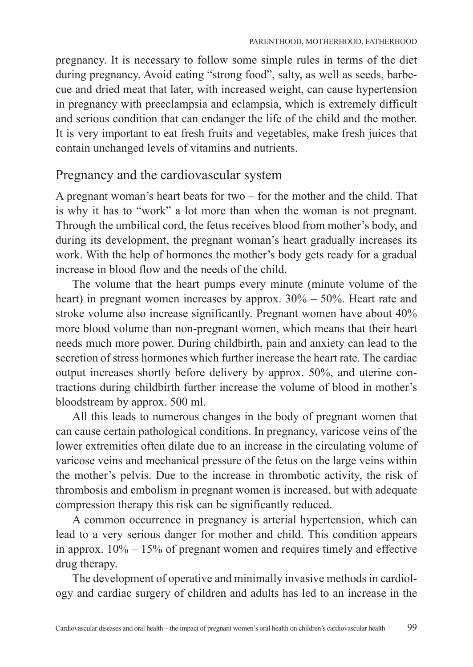pregnancy. It is necessary to follow some simple rules in terms of the diet during pregnancy. Avoid eating "strong food", salty, as well as seeds, barbecue and dried meat that later, with increased weight, can cause hypertension in pregnancy with preeclampsia and eclampsia, which is extremely difficult and serious condition that can endanger the life of the child and the mother. It is very important to eat fresh fruits and vegetables, make fresh juices that contain unchanged levels of vitamins and nutrients.

# Pregnancy and the cardiovascular system

A pregnant woman's heart beats for two – for the mother and the child. That is why it has to "work" a lot more than when the woman is not pregnant. Through the umbilical cord, the fetus receives blood from mother's body, and during its development, the pregnant woman's heart gradually increases its work. With the help of hormones the mother's body gets ready for a gradual increase in blood flow and the needs of the child.

The volume that the heart pumps every minute (minute volume of the heart) in pregnant women increases by approx. 30% – 50%. Heart rate and stroke volume also increase significantly. Pregnant women have about 40% more blood volume than non-pregnant women, which means that their heart needs much more power. During childbirth, pain and anxiety can lead to the secretion of stress hormones which further increase the heart rate. The cardiac output increases shortly before delivery by approx. 50%, and uterine contractions during childbirth further increase the volume of blood in mother's bloodstream by approx. 500 ml.

All this leads to numerous changes in the body of pregnant women that can cause certain pathological conditions. In pregnancy, varicose veins of the lower extremities often dilate due to an increase in the circulating volume of varicose veins and mechanical pressure of the fetus on the large veins within the mother's pelvis. Due to the increase in thrombotic activity, the risk of thrombosis and embolism in pregnant women is increased, but with adequate compression therapy this risk can be significantly reduced.

A common occurrence in pregnancy is arterial hypertension, which can lead to a very serious danger for mother and child. This condition appears in approx. 10% – 15% of pregnant women and requires timely and effective drug therapy.

The development of operative and minimally invasive methods in cardiology and cardiac surgery of children and adults has led to an increase in the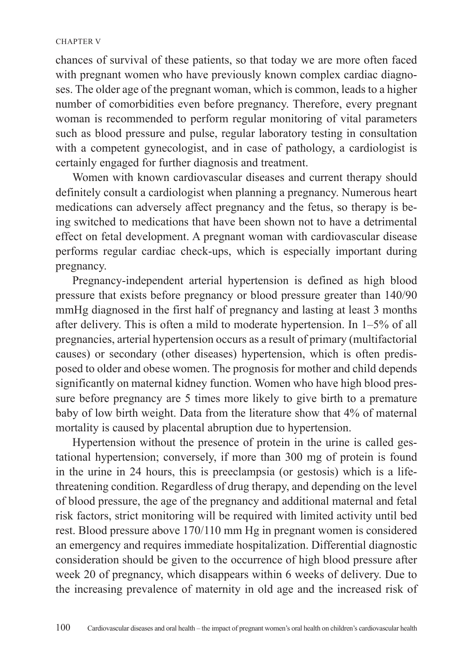chances of survival of these patients, so that today we are more often faced with pregnant women who have previously known complex cardiac diagnoses. The older age of the pregnant woman, which is common, leads to a higher number of comorbidities even before pregnancy. Therefore, every pregnant woman is recommended to perform regular monitoring of vital parameters such as blood pressure and pulse, regular laboratory testing in consultation with a competent gynecologist, and in case of pathology, a cardiologist is certainly engaged for further diagnosis and treatment.

Women with known cardiovascular diseases and current therapy should definitely consult a cardiologist when planning a pregnancy. Numerous heart medications can adversely affect pregnancy and the fetus, so therapy is being switched to medications that have been shown not to have a detrimental effect on fetal development. A pregnant woman with cardiovascular disease performs regular cardiac check-ups, which is especially important during pregnancy.

Pregnancy-independent arterial hypertension is defined as high blood pressure that exists before pregnancy or blood pressure greater than 140/90 mmHg diagnosed in the first half of pregnancy and lasting at least 3 months after delivery. This is often a mild to moderate hypertension. In 1–5% of all pregnancies, arterial hypertension occurs as a result of primary (multifactorial causes) or secondary (other diseases) hypertension, which is often predisposed to older and obese women. The prognosis for mother and child depends significantly on maternal kidney function. Women who have high blood pressure before pregnancy are 5 times more likely to give birth to a premature baby of low birth weight. Data from the literature show that 4% of maternal mortality is caused by placental abruption due to hypertension.

Hypertension without the presence of protein in the urine is called gestational hypertension; conversely, if more than 300 mg of protein is found in the urine in 24 hours, this is preeclampsia (or gestosis) which is a lifethreatening condition. Regardless of drug therapy, and depending on the level of blood pressure, the age of the pregnancy and additional maternal and fetal risk factors, strict monitoring will be required with limited activity until bed rest. Blood pressure above 170/110 mm Hg in pregnant women is considered an emergency and requires immediate hospitalization. Differential diagnostic consideration should be given to the occurrence of high blood pressure after week 20 of pregnancy, which disappears within 6 weeks of delivery. Due to the increasing prevalence of maternity in old age and the increased risk of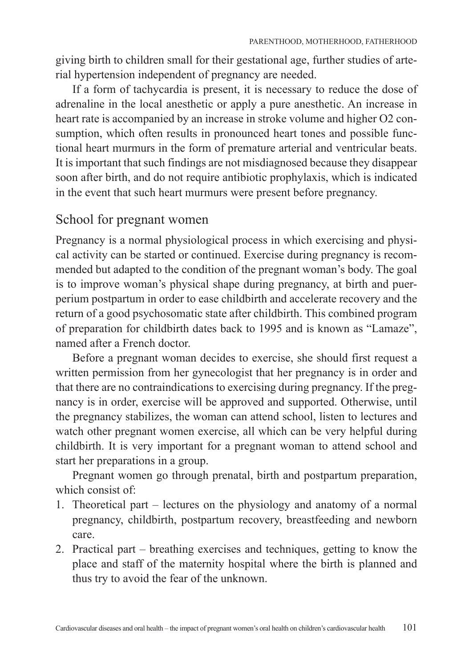giving birth to children small for their gestational age, further studies of arterial hypertension independent of pregnancy are needed.

If a form of tachycardia is present, it is necessary to reduce the dose of adrenaline in the local anesthetic or apply a pure anesthetic. An increase in heart rate is accompanied by an increase in stroke volume and higher O2 consumption, which often results in pronounced heart tones and possible functional heart murmurs in the form of premature arterial and ventricular beats. It is important that such findings are not misdiagnosed because they disappear soon after birth, and do not require antibiotic prophylaxis, which is indicated in the event that such heart murmurs were present before pregnancy.

# School for pregnant women

Pregnancy is a normal physiological process in which exercising and physical activity can be started or continued. Exercise during pregnancy is recommended but adapted to the condition of the pregnant woman's body. The goal is to improve woman's physical shape during pregnancy, at birth and puerperium postpartum in order to ease childbirth and accelerate recovery and the return of a good psychosomatic state after childbirth. This combined program of preparation for childbirth dates back to 1995 and is known as "Lamaze", named after a French doctor.

Before a pregnant woman decides to exercise, she should first request a written permission from her gynecologist that her pregnancy is in order and that there are no contraindications to exercising during pregnancy. If the pregnancy is in order, exercise will be approved and supported. Otherwise, until the pregnancy stabilizes, the woman can attend school, listen to lectures and watch other pregnant women exercise, all which can be very helpful during childbirth. It is very important for a pregnant woman to attend school and start her preparations in a group.

Pregnant women go through prenatal, birth and postpartum preparation, which consist of:

- 1. Theoretical part lectures on the physiology and anatomy of a normal pregnancy, childbirth, postpartum recovery, breastfeeding and newborn care.
- 2. Practical part breathing exercises and techniques, getting to know the place and staff of the maternity hospital where the birth is planned and thus try to avoid the fear of the unknown.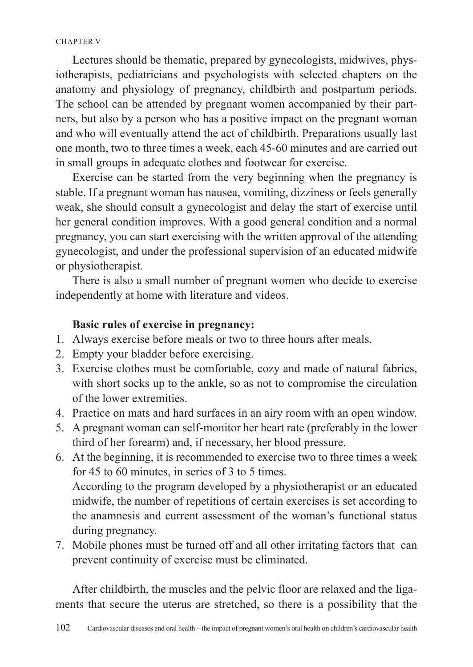Lectures should be thematic, prepared by gynecologists, midwives, physiotherapists, pediatricians and psychologists with selected chapters on the anatomy and physiology of pregnancy, childbirth and postpartum periods. The school can be attended by pregnant women accompanied by their partners, but also by a person who has a positive impact on the pregnant woman and who will eventually attend the act of childbirth. Preparations usually last one month, two to three times a week, each 45-60 minutes and are carried out in small groups in adequate clothes and footwear for exercise.

Exercise can be started from the very beginning when the pregnancy is stable. If a pregnant woman has nausea, vomiting, dizziness or feels generally weak, she should consult a gynecologist and delay the start of exercise until her general condition improves. With a good general condition and a normal pregnancy, you can start exercising with the written approval of the attending gynecologist, and under the professional supervision of an educated midwife or physiotherapist.

There is also a small number of pregnant women who decide to exercise independently at home with literature and videos.

### **Basic rules of exercise in pregnancy:**

- 1. Always exercise before meals or two to three hours after meals.
- 2. Empty your bladder before exercising.
- 3. Exercise clothes must be comfortable, cozy and made of natural fabrics, with short socks up to the ankle, so as not to compromise the circulation of the lower extremities.
- 4. Practice on mats and hard surfaces in an airy room with an open window.
- 5. A pregnant woman can self-monitor her heart rate (preferably in the lower third of her forearm) and, if necessary, her blood pressure.
- 6. At the beginning, it is recommended to exercise two to three times a week for 45 to 60 minutes, in series of 3 to 5 times. According to the program developed by a physiotherapist or an educated midwife, the number of repetitions of certain exercises is set according to the anamnesis and current assessment of the woman's functional status during pregnancy.
- 7. Mobile phones must be turned off and all other irritating factors that can prevent continuity of exercise must be eliminated.

After childbirth, the muscles and the pelvic floor are relaxed and the ligaments that secure the uterus are stretched, so there is a possibility that the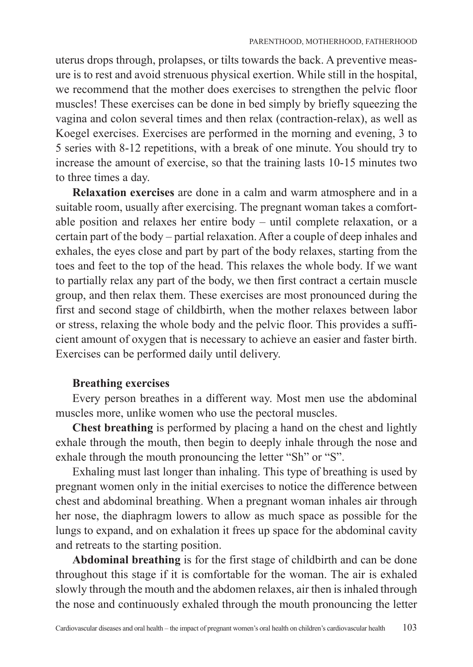uterus drops through, prolapses, or tilts towards the back. A preventive measure is to rest and avoid strenuous physical exertion. While still in the hospital, we recommend that the mother does exercises to strengthen the pelvic floor muscles! These exercises can be done in bed simply by briefly squeezing the vagina and colon several times and then relax (contraction-relax), as well as Koegel exercises. Exercises are performed in the morning and evening, 3 to 5 series with 8-12 repetitions, with a break of one minute. You should try to increase the amount of exercise, so that the training lasts 10-15 minutes two to three times a day.

**Relaxation exercises** are done in a calm and warm atmosphere and in a suitable room, usually after exercising. The pregnant woman takes a comfortable position and relaxes her entire body – until complete relaxation, or a certain part of the body – partial relaxation. After a couple of deep inhales and exhales, the eyes close and part by part of the body relaxes, starting from the toes and feet to the top of the head. This relaxes the whole body. If we want to partially relax any part of the body, we then first contract a certain muscle group, and then relax them. These exercises are most pronounced during the first and second stage of childbirth, when the mother relaxes between labor or stress, relaxing the whole body and the pelvic floor. This provides a sufficient amount of oxygen that is necessary to achieve an easier and faster birth. Exercises can be performed daily until delivery.

## **Breathing exercises**

Every person breathes in a different way. Most men use the abdominal muscles more, unlike women who use the pectoral muscles.

**Chest breathing** is performed by placing a hand on the chest and lightly exhale through the mouth, then begin to deeply inhale through the nose and exhale through the mouth pronouncing the letter "Sh" or "S".

Exhaling must last longer than inhaling. This type of breathing is used by pregnant women only in the initial exercises to notice the difference between chest and abdominal breathing. When a pregnant woman inhales air through her nose, the diaphragm lowers to allow as much space as possible for the lungs to expand, and on exhalation it frees up space for the abdominal cavity and retreats to the starting position.

**Abdominal breathing** is for the first stage of childbirth and can be done throughout this stage if it is comfortable for the woman. The air is exhaled slowly through the mouth and the abdomen relaxes, air then is inhaled through the nose and continuously exhaled through the mouth pronouncing the letter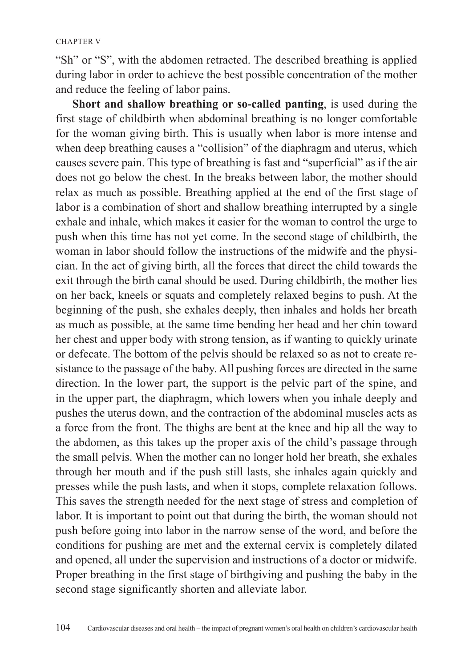"Sh" or "S", with the abdomen retracted. The described breathing is applied during labor in order to achieve the best possible concentration of the mother and reduce the feeling of labor pains.

**Short and shallow breathing or so-called panting**, is used during the first stage of childbirth when abdominal breathing is no longer comfortable for the woman giving birth. This is usually when labor is more intense and when deep breathing causes a "collision" of the diaphragm and uterus, which causes severe pain. This type of breathing is fast and "superficial" as if the air does not go below the chest. In the breaks between labor, the mother should relax as much as possible. Breathing applied at the end of the first stage of labor is a combination of short and shallow breathing interrupted by a single exhale and inhale, which makes it easier for the woman to control the urge to push when this time has not yet come. In the second stage of childbirth, the woman in labor should follow the instructions of the midwife and the physician. In the act of giving birth, all the forces that direct the child towards the exit through the birth canal should be used. During childbirth, the mother lies on her back, kneels or squats and completely relaxed begins to push. At the beginning of the push, she exhales deeply, then inhales and holds her breath as much as possible, at the same time bending her head and her chin toward her chest and upper body with strong tension, as if wanting to quickly urinate or defecate. The bottom of the pelvis should be relaxed so as not to create resistance to the passage of the baby. All pushing forces are directed in the same direction. In the lower part, the support is the pelvic part of the spine, and in the upper part, the diaphragm, which lowers when you inhale deeply and pushes the uterus down, and the contraction of the abdominal muscles acts as a force from the front. The thighs are bent at the knee and hip all the way to the abdomen, as this takes up the proper axis of the child's passage through the small pelvis. When the mother can no longer hold her breath, she exhales through her mouth and if the push still lasts, she inhales again quickly and presses while the push lasts, and when it stops, complete relaxation follows. This saves the strength needed for the next stage of stress and completion of labor. It is important to point out that during the birth, the woman should not push before going into labor in the narrow sense of the word, and before the conditions for pushing are met and the external cervix is completely dilated and opened, all under the supervision and instructions of a doctor or midwife. Proper breathing in the first stage of birthgiving and pushing the baby in the second stage significantly shorten and alleviate labor.